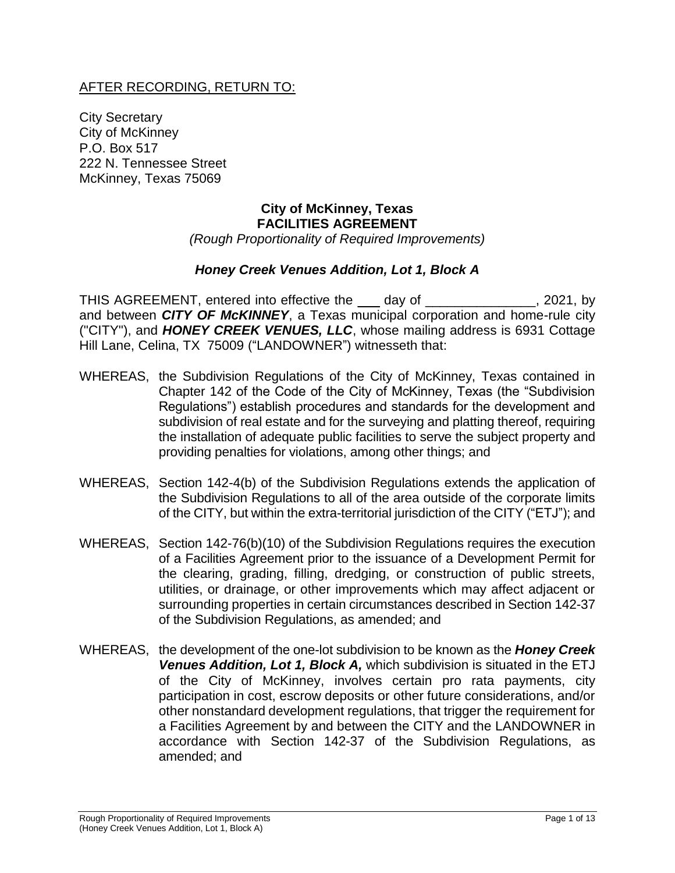#### AFTER RECORDING, RETURN TO:

City Secretary City of McKinney P.O. Box 517 222 N. Tennessee Street McKinney, Texas 75069

#### **City of McKinney, Texas FACILITIES AGREEMENT** *(Rough Proportionality of Required Improvements)*

#### *Honey Creek Venues Addition, Lot 1, Block A*

THIS AGREEMENT, entered into effective the \_\_\_ day of \_\_\_\_\_\_\_\_\_\_\_\_\_\_\_, 2021, by and between *CITY OF McKINNEY*, a Texas municipal corporation and home-rule city ("CITY"), and *HONEY CREEK VENUES, LLC*, whose mailing address is 6931 Cottage Hill Lane, Celina, TX 75009 ("LANDOWNER") witnesseth that:

- WHEREAS, the Subdivision Regulations of the City of McKinney, Texas contained in Chapter 142 of the Code of the City of McKinney, Texas (the "Subdivision Regulations") establish procedures and standards for the development and subdivision of real estate and for the surveying and platting thereof, requiring the installation of adequate public facilities to serve the subject property and providing penalties for violations, among other things; and
- WHEREAS, Section 142-4(b) of the Subdivision Regulations extends the application of the Subdivision Regulations to all of the area outside of the corporate limits of the CITY, but within the extra-territorial jurisdiction of the CITY ("ETJ"); and
- WHEREAS, Section 142-76(b)(10) of the Subdivision Regulations requires the execution of a Facilities Agreement prior to the issuance of a Development Permit for the clearing, grading, filling, dredging, or construction of public streets, utilities, or drainage, or other improvements which may affect adjacent or surrounding properties in certain circumstances described in Section 142-37 of the Subdivision Regulations, as amended; and
- WHEREAS, the development of the one-lot subdivision to be known as the *Honey Creek Venues Addition, Lot 1, Block A,* which subdivision is situated in the ETJ of the City of McKinney, involves certain pro rata payments, city participation in cost, escrow deposits or other future considerations, and/or other nonstandard development regulations, that trigger the requirement for a Facilities Agreement by and between the CITY and the LANDOWNER in accordance with Section 142-37 of the Subdivision Regulations, as amended; and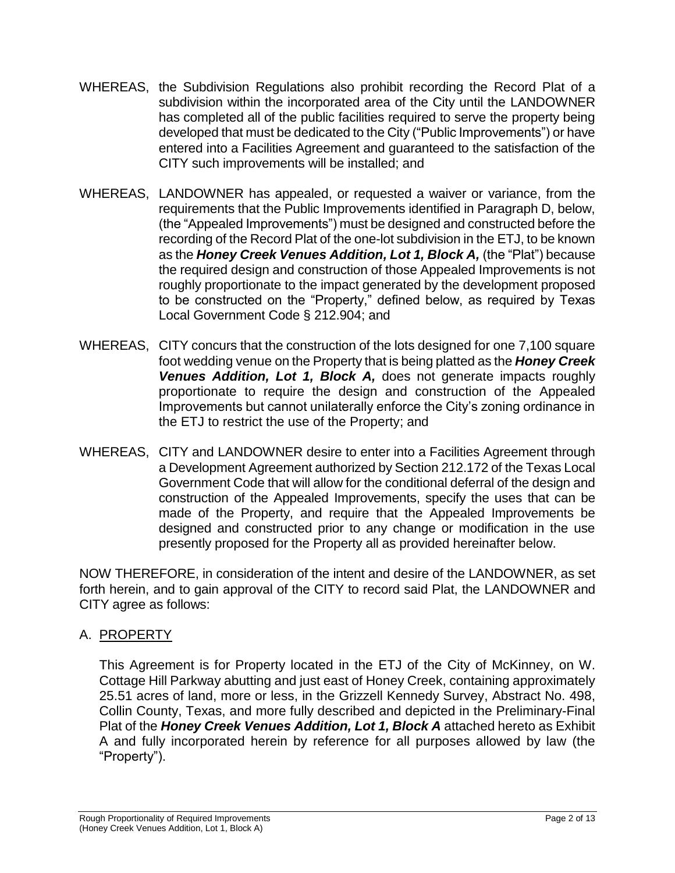- WHEREAS, the Subdivision Regulations also prohibit recording the Record Plat of a subdivision within the incorporated area of the City until the LANDOWNER has completed all of the public facilities required to serve the property being developed that must be dedicated to the City ("Public Improvements") or have entered into a Facilities Agreement and guaranteed to the satisfaction of the CITY such improvements will be installed; and
- WHEREAS, LANDOWNER has appealed, or requested a waiver or variance, from the requirements that the Public Improvements identified in Paragraph D, below, (the "Appealed Improvements") must be designed and constructed before the recording of the Record Plat of the one-lot subdivision in the ETJ, to be known as the *Honey Creek Venues Addition, Lot 1, Block A,* (the "Plat") because the required design and construction of those Appealed Improvements is not roughly proportionate to the impact generated by the development proposed to be constructed on the "Property," defined below, as required by Texas Local Government Code § 212.904; and
- WHEREAS, CITY concurs that the construction of the lots designed for one 7,100 square foot wedding venue on the Property that is being platted as the *Honey Creek Venues Addition, Lot 1, Block A,* does not generate impacts roughly proportionate to require the design and construction of the Appealed Improvements but cannot unilaterally enforce the City's zoning ordinance in the ETJ to restrict the use of the Property; and
- WHEREAS, CITY and LANDOWNER desire to enter into a Facilities Agreement through a Development Agreement authorized by Section 212.172 of the Texas Local Government Code that will allow for the conditional deferral of the design and construction of the Appealed Improvements, specify the uses that can be made of the Property, and require that the Appealed Improvements be designed and constructed prior to any change or modification in the use presently proposed for the Property all as provided hereinafter below.

NOW THEREFORE, in consideration of the intent and desire of the LANDOWNER, as set forth herein, and to gain approval of the CITY to record said Plat, the LANDOWNER and CITY agree as follows:

# A. PROPERTY

This Agreement is for Property located in the ETJ of the City of McKinney, on W. Cottage Hill Parkway abutting and just east of Honey Creek, containing approximately 25.51 acres of land, more or less, in the Grizzell Kennedy Survey, Abstract No. 498, Collin County, Texas, and more fully described and depicted in the Preliminary-Final Plat of the *Honey Creek Venues Addition, Lot 1, Block A* attached hereto as Exhibit A and fully incorporated herein by reference for all purposes allowed by law (the "Property").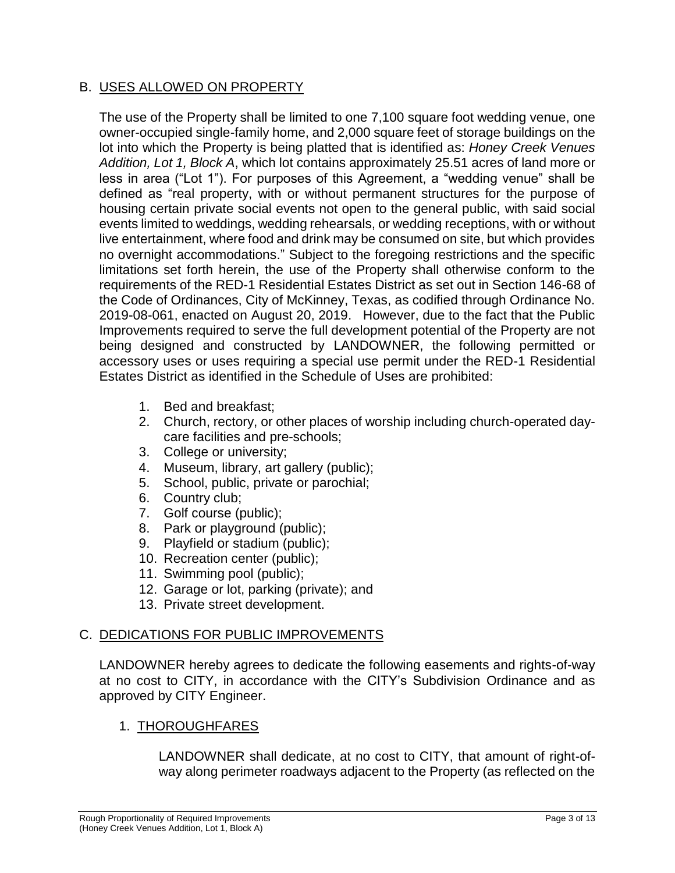### B. USES ALLOWED ON PROPERTY

The use of the Property shall be limited to one 7,100 square foot wedding venue, one owner-occupied single-family home, and 2,000 square feet of storage buildings on the lot into which the Property is being platted that is identified as: *Honey Creek Venues Addition, Lot 1, Block A*, which lot contains approximately 25.51 acres of land more or less in area ("Lot 1"). For purposes of this Agreement, a "wedding venue" shall be defined as "real property, with or without permanent structures for the purpose of housing certain private social events not open to the general public, with said social events limited to weddings, wedding rehearsals, or wedding receptions, with or without live entertainment, where food and drink may be consumed on site, but which provides no overnight accommodations." Subject to the foregoing restrictions and the specific limitations set forth herein, the use of the Property shall otherwise conform to the requirements of the RED-1 Residential Estates District as set out in Section 146-68 of the Code of Ordinances, City of McKinney, Texas, as codified through Ordinance No. 2019-08-061, enacted on August 20, 2019. However, due to the fact that the Public Improvements required to serve the full development potential of the Property are not being designed and constructed by LANDOWNER, the following permitted or accessory uses or uses requiring a special use permit under the RED-1 Residential Estates District as identified in the Schedule of Uses are prohibited:

- 1. Bed and breakfast;
- 2. Church, rectory, or other places of worship including church-operated daycare facilities and pre-schools;
- 3. College or university;
- 4. Museum, library, art gallery (public);
- 5. School, public, private or parochial;
- 6. Country club;
- 7. Golf course (public);
- 8. Park or playground (public);
- 9. Playfield or stadium (public);
- 10. Recreation center (public);
- 11. Swimming pool (public);
- 12. Garage or lot, parking (private); and
- 13. Private street development.

## C. DEDICATIONS FOR PUBLIC IMPROVEMENTS

LANDOWNER hereby agrees to dedicate the following easements and rights-of-way at no cost to CITY, in accordance with the CITY's Subdivision Ordinance and as approved by CITY Engineer.

#### 1. THOROUGHFARES

LANDOWNER shall dedicate, at no cost to CITY, that amount of right-ofway along perimeter roadways adjacent to the Property (as reflected on the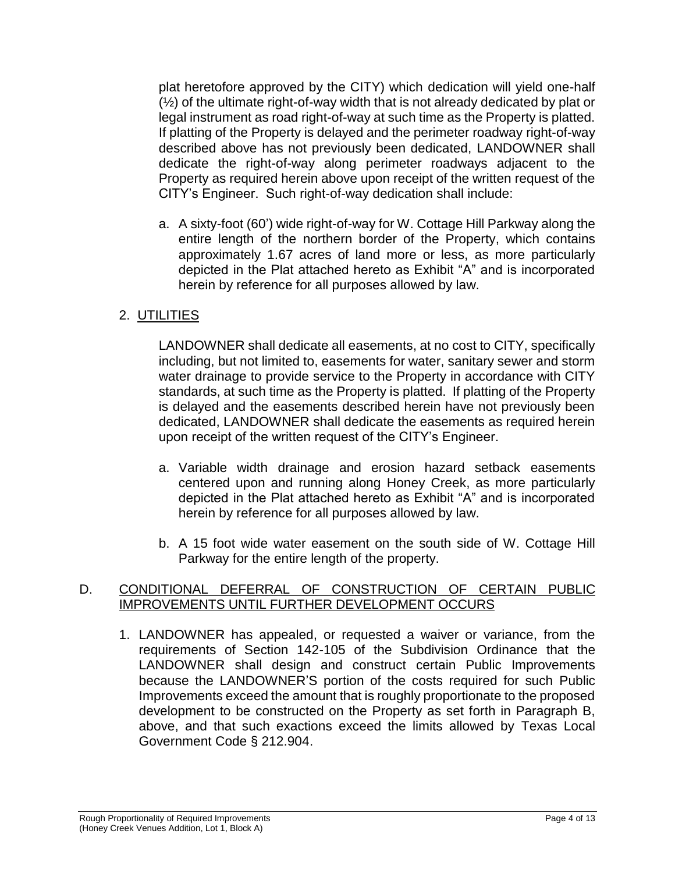plat heretofore approved by the CITY) which dedication will yield one-half (½) of the ultimate right-of-way width that is not already dedicated by plat or legal instrument as road right-of-way at such time as the Property is platted. If platting of the Property is delayed and the perimeter roadway right-of-way described above has not previously been dedicated, LANDOWNER shall dedicate the right-of-way along perimeter roadways adjacent to the Property as required herein above upon receipt of the written request of the CITY's Engineer. Such right-of-way dedication shall include:

a. A sixty-foot (60') wide right-of-way for W. Cottage Hill Parkway along the entire length of the northern border of the Property, which contains approximately 1.67 acres of land more or less, as more particularly depicted in the Plat attached hereto as Exhibit "A" and is incorporated herein by reference for all purposes allowed by law.

## 2. UTILITIES

LANDOWNER shall dedicate all easements, at no cost to CITY, specifically including, but not limited to, easements for water, sanitary sewer and storm water drainage to provide service to the Property in accordance with CITY standards, at such time as the Property is platted. If platting of the Property is delayed and the easements described herein have not previously been dedicated, LANDOWNER shall dedicate the easements as required herein upon receipt of the written request of the CITY's Engineer.

- a. Variable width drainage and erosion hazard setback easements centered upon and running along Honey Creek, as more particularly depicted in the Plat attached hereto as Exhibit "A" and is incorporated herein by reference for all purposes allowed by law.
- b. A 15 foot wide water easement on the south side of W. Cottage Hill Parkway for the entire length of the property.

### D. CONDITIONAL DEFERRAL OF CONSTRUCTION OF CERTAIN PUBLIC IMPROVEMENTS UNTIL FURTHER DEVELOPMENT OCCURS

1. LANDOWNER has appealed, or requested a waiver or variance, from the requirements of Section 142-105 of the Subdivision Ordinance that the LANDOWNER shall design and construct certain Public Improvements because the LANDOWNER'S portion of the costs required for such Public Improvements exceed the amount that is roughly proportionate to the proposed development to be constructed on the Property as set forth in Paragraph B, above, and that such exactions exceed the limits allowed by Texas Local Government Code § 212.904.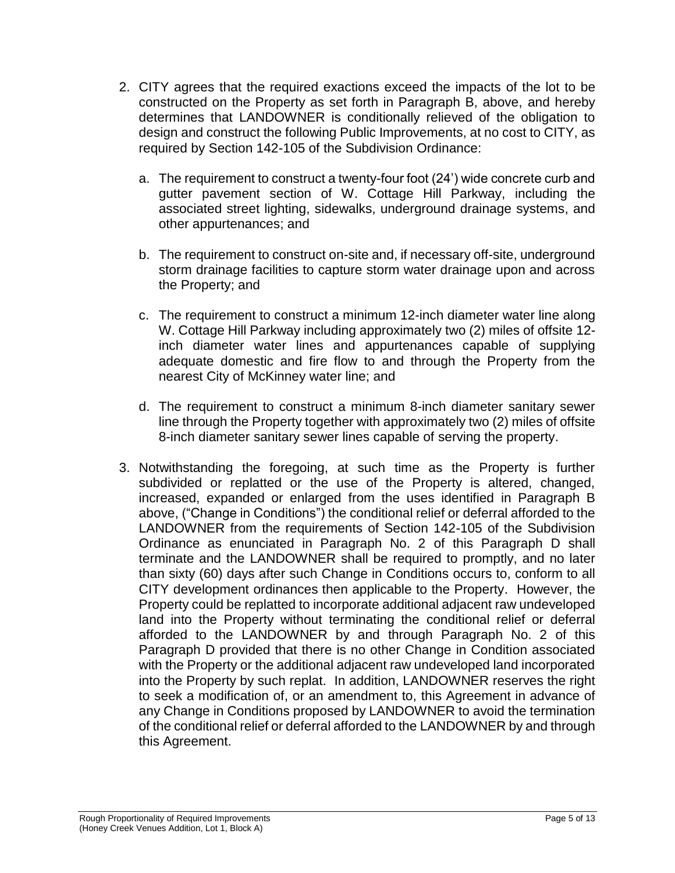- 2. CITY agrees that the required exactions exceed the impacts of the lot to be constructed on the Property as set forth in Paragraph B, above, and hereby determines that LANDOWNER is conditionally relieved of the obligation to design and construct the following Public Improvements, at no cost to CITY, as required by Section 142-105 of the Subdivision Ordinance:
	- a. The requirement to construct a twenty-four foot (24') wide concrete curb and gutter pavement section of W. Cottage Hill Parkway, including the associated street lighting, sidewalks, underground drainage systems, and other appurtenances; and
	- b. The requirement to construct on-site and, if necessary off-site, underground storm drainage facilities to capture storm water drainage upon and across the Property; and
	- c. The requirement to construct a minimum 12-inch diameter water line along W. Cottage Hill Parkway including approximately two (2) miles of offsite 12 inch diameter water lines and appurtenances capable of supplying adequate domestic and fire flow to and through the Property from the nearest City of McKinney water line; and
	- d. The requirement to construct a minimum 8-inch diameter sanitary sewer line through the Property together with approximately two (2) miles of offsite 8-inch diameter sanitary sewer lines capable of serving the property.
- 3. Notwithstanding the foregoing, at such time as the Property is further subdivided or replatted or the use of the Property is altered, changed, increased, expanded or enlarged from the uses identified in Paragraph B above, ("Change in Conditions") the conditional relief or deferral afforded to the LANDOWNER from the requirements of Section 142-105 of the Subdivision Ordinance as enunciated in Paragraph No. 2 of this Paragraph D shall terminate and the LANDOWNER shall be required to promptly, and no later than sixty (60) days after such Change in Conditions occurs to, conform to all CITY development ordinances then applicable to the Property. However, the Property could be replatted to incorporate additional adjacent raw undeveloped land into the Property without terminating the conditional relief or deferral afforded to the LANDOWNER by and through Paragraph No. 2 of this Paragraph D provided that there is no other Change in Condition associated with the Property or the additional adjacent raw undeveloped land incorporated into the Property by such replat. In addition, LANDOWNER reserves the right to seek a modification of, or an amendment to, this Agreement in advance of any Change in Conditions proposed by LANDOWNER to avoid the termination of the conditional relief or deferral afforded to the LANDOWNER by and through this Agreement.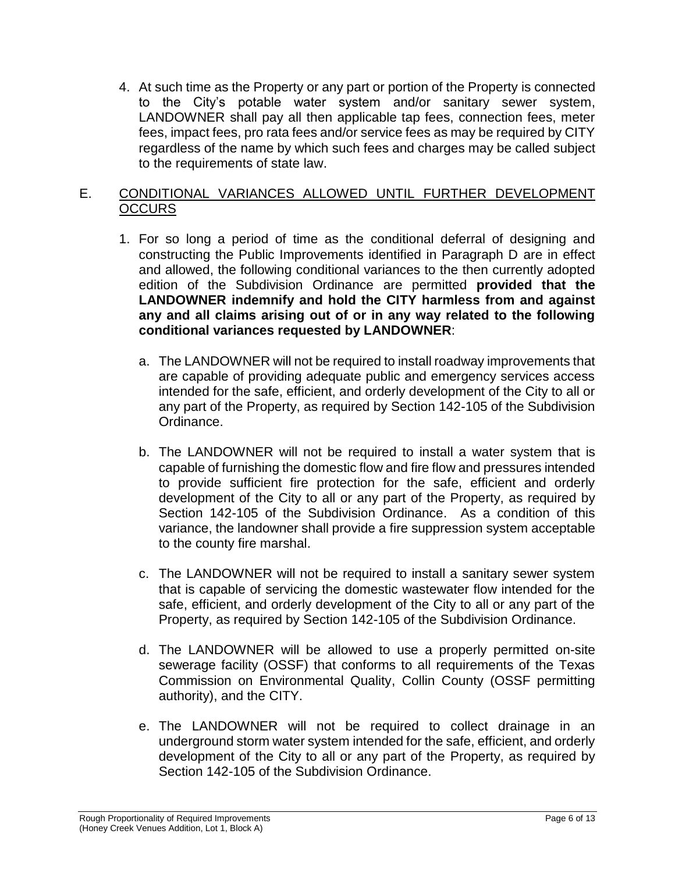4. At such time as the Property or any part or portion of the Property is connected to the City's potable water system and/or sanitary sewer system, LANDOWNER shall pay all then applicable tap fees, connection fees, meter fees, impact fees, pro rata fees and/or service fees as may be required by CITY regardless of the name by which such fees and charges may be called subject to the requirements of state law.

## E. CONDITIONAL VARIANCES ALLOWED UNTIL FURTHER DEVELOPMENT **OCCURS**

- 1. For so long a period of time as the conditional deferral of designing and constructing the Public Improvements identified in Paragraph D are in effect and allowed, the following conditional variances to the then currently adopted edition of the Subdivision Ordinance are permitted **provided that the LANDOWNER indemnify and hold the CITY harmless from and against any and all claims arising out of or in any way related to the following conditional variances requested by LANDOWNER**:
	- a. The LANDOWNER will not be required to install roadway improvements that are capable of providing adequate public and emergency services access intended for the safe, efficient, and orderly development of the City to all or any part of the Property, as required by Section 142-105 of the Subdivision Ordinance.
	- b. The LANDOWNER will not be required to install a water system that is capable of furnishing the domestic flow and fire flow and pressures intended to provide sufficient fire protection for the safe, efficient and orderly development of the City to all or any part of the Property, as required by Section 142-105 of the Subdivision Ordinance. As a condition of this variance, the landowner shall provide a fire suppression system acceptable to the county fire marshal.
	- c. The LANDOWNER will not be required to install a sanitary sewer system that is capable of servicing the domestic wastewater flow intended for the safe, efficient, and orderly development of the City to all or any part of the Property, as required by Section 142-105 of the Subdivision Ordinance.
	- d. The LANDOWNER will be allowed to use a properly permitted on-site sewerage facility (OSSF) that conforms to all requirements of the Texas Commission on Environmental Quality, Collin County (OSSF permitting authority), and the CITY.
	- e. The LANDOWNER will not be required to collect drainage in an underground storm water system intended for the safe, efficient, and orderly development of the City to all or any part of the Property, as required by Section 142-105 of the Subdivision Ordinance.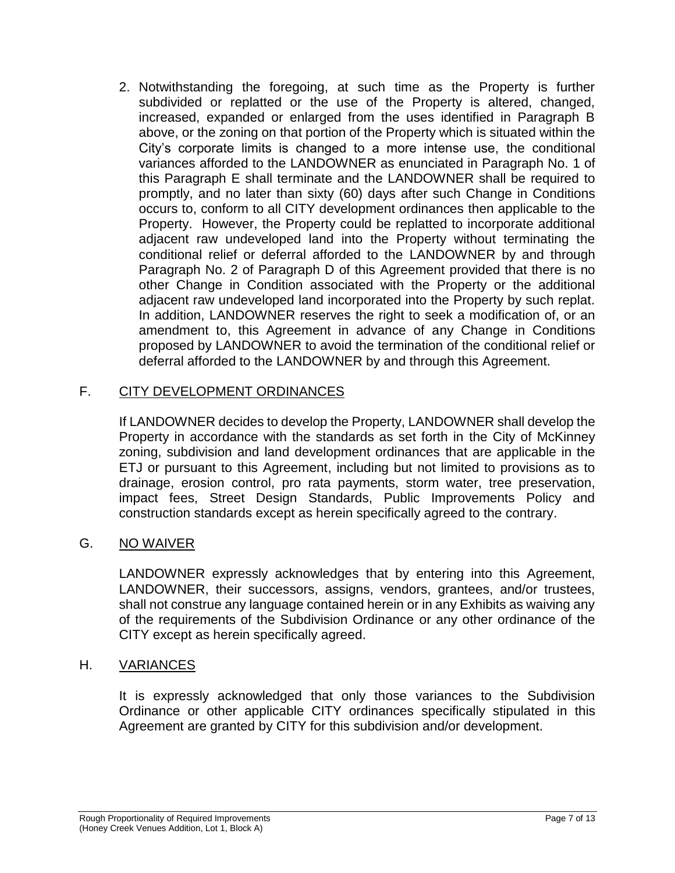2. Notwithstanding the foregoing, at such time as the Property is further subdivided or replatted or the use of the Property is altered, changed, increased, expanded or enlarged from the uses identified in Paragraph B above, or the zoning on that portion of the Property which is situated within the City's corporate limits is changed to a more intense use, the conditional variances afforded to the LANDOWNER as enunciated in Paragraph No. 1 of this Paragraph E shall terminate and the LANDOWNER shall be required to promptly, and no later than sixty (60) days after such Change in Conditions occurs to, conform to all CITY development ordinances then applicable to the Property. However, the Property could be replatted to incorporate additional adjacent raw undeveloped land into the Property without terminating the conditional relief or deferral afforded to the LANDOWNER by and through Paragraph No. 2 of Paragraph D of this Agreement provided that there is no other Change in Condition associated with the Property or the additional adjacent raw undeveloped land incorporated into the Property by such replat. In addition, LANDOWNER reserves the right to seek a modification of, or an amendment to, this Agreement in advance of any Change in Conditions proposed by LANDOWNER to avoid the termination of the conditional relief or deferral afforded to the LANDOWNER by and through this Agreement.

## F. CITY DEVELOPMENT ORDINANCES

If LANDOWNER decides to develop the Property, LANDOWNER shall develop the Property in accordance with the standards as set forth in the City of McKinney zoning, subdivision and land development ordinances that are applicable in the ETJ or pursuant to this Agreement, including but not limited to provisions as to drainage, erosion control, pro rata payments, storm water, tree preservation, impact fees, Street Design Standards, Public Improvements Policy and construction standards except as herein specifically agreed to the contrary.

## G. NO WAIVER

LANDOWNER expressly acknowledges that by entering into this Agreement, LANDOWNER, their successors, assigns, vendors, grantees, and/or trustees, shall not construe any language contained herein or in any Exhibits as waiving any of the requirements of the Subdivision Ordinance or any other ordinance of the CITY except as herein specifically agreed.

#### H. VARIANCES

It is expressly acknowledged that only those variances to the Subdivision Ordinance or other applicable CITY ordinances specifically stipulated in this Agreement are granted by CITY for this subdivision and/or development.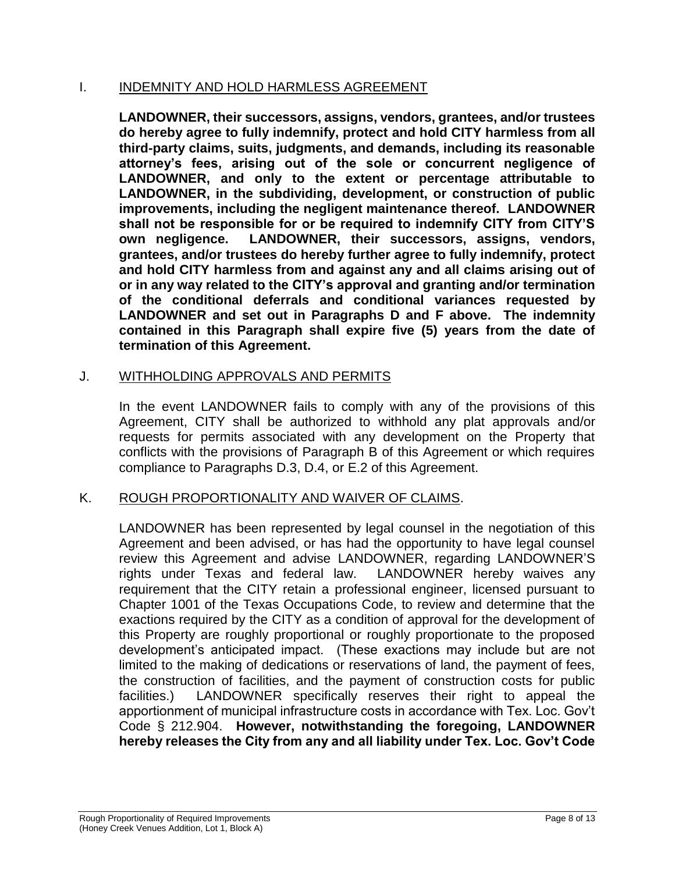#### I. INDEMNITY AND HOLD HARMLESS AGREEMENT

**LANDOWNER, their successors, assigns, vendors, grantees, and/or trustees do hereby agree to fully indemnify, protect and hold CITY harmless from all third-party claims, suits, judgments, and demands, including its reasonable attorney's fees, arising out of the sole or concurrent negligence of LANDOWNER, and only to the extent or percentage attributable to LANDOWNER, in the subdividing, development, or construction of public improvements, including the negligent maintenance thereof. LANDOWNER shall not be responsible for or be required to indemnify CITY from CITY'S own negligence. LANDOWNER, their successors, assigns, vendors, grantees, and/or trustees do hereby further agree to fully indemnify, protect and hold CITY harmless from and against any and all claims arising out of or in any way related to the CITY's approval and granting and/or termination of the conditional deferrals and conditional variances requested by LANDOWNER and set out in Paragraphs D and F above. The indemnity contained in this Paragraph shall expire five (5) years from the date of termination of this Agreement.**

### J. WITHHOLDING APPROVALS AND PERMITS

In the event LANDOWNER fails to comply with any of the provisions of this Agreement, CITY shall be authorized to withhold any plat approvals and/or requests for permits associated with any development on the Property that conflicts with the provisions of Paragraph B of this Agreement or which requires compliance to Paragraphs D.3, D.4, or E.2 of this Agreement.

## K. ROUGH PROPORTIONALITY AND WAIVER OF CLAIMS.

LANDOWNER has been represented by legal counsel in the negotiation of this Agreement and been advised, or has had the opportunity to have legal counsel review this Agreement and advise LANDOWNER, regarding LANDOWNER'S rights under Texas and federal law. LANDOWNER hereby waives any requirement that the CITY retain a professional engineer, licensed pursuant to Chapter 1001 of the Texas Occupations Code, to review and determine that the exactions required by the CITY as a condition of approval for the development of this Property are roughly proportional or roughly proportionate to the proposed development's anticipated impact. (These exactions may include but are not limited to the making of dedications or reservations of land, the payment of fees, the construction of facilities, and the payment of construction costs for public facilities.) LANDOWNER specifically reserves their right to appeal the apportionment of municipal infrastructure costs in accordance with Tex. Loc. Gov't Code § 212.904. **However, notwithstanding the foregoing, LANDOWNER hereby releases the City from any and all liability under Tex. Loc. Gov't Code**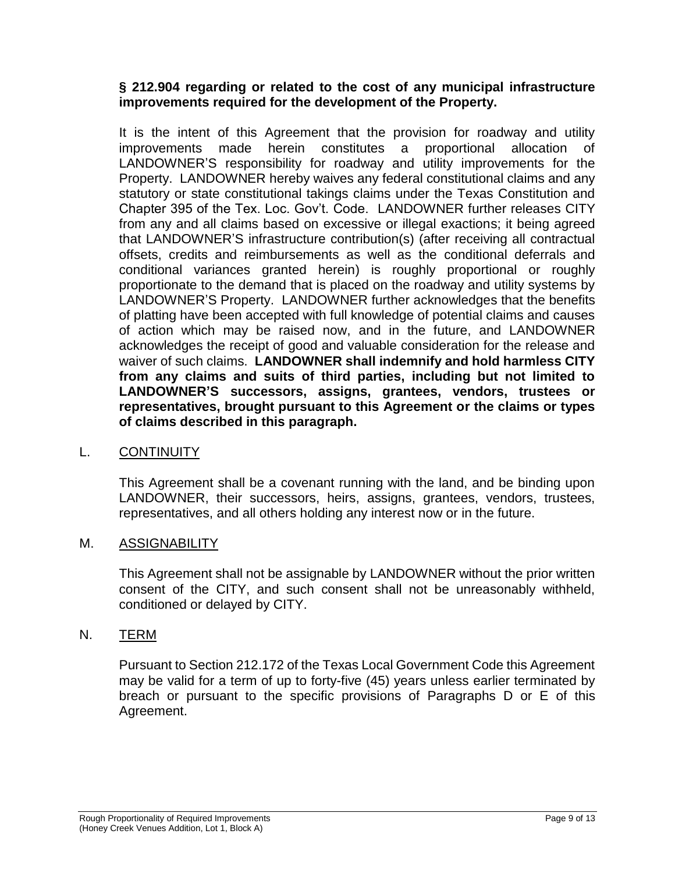#### **§ 212.904 regarding or related to the cost of any municipal infrastructure improvements required for the development of the Property.**

It is the intent of this Agreement that the provision for roadway and utility improvements made herein constitutes a proportional allocation of LANDOWNER'S responsibility for roadway and utility improvements for the Property. LANDOWNER hereby waives any federal constitutional claims and any statutory or state constitutional takings claims under the Texas Constitution and Chapter 395 of the Tex. Loc. Gov't. Code. LANDOWNER further releases CITY from any and all claims based on excessive or illegal exactions; it being agreed that LANDOWNER'S infrastructure contribution(s) (after receiving all contractual offsets, credits and reimbursements as well as the conditional deferrals and conditional variances granted herein) is roughly proportional or roughly proportionate to the demand that is placed on the roadway and utility systems by LANDOWNER'S Property. LANDOWNER further acknowledges that the benefits of platting have been accepted with full knowledge of potential claims and causes of action which may be raised now, and in the future, and LANDOWNER acknowledges the receipt of good and valuable consideration for the release and waiver of such claims. **LANDOWNER shall indemnify and hold harmless CITY from any claims and suits of third parties, including but not limited to LANDOWNER'S successors, assigns, grantees, vendors, trustees or representatives, brought pursuant to this Agreement or the claims or types of claims described in this paragraph.**

#### L. CONTINUITY

This Agreement shall be a covenant running with the land, and be binding upon LANDOWNER, their successors, heirs, assigns, grantees, vendors, trustees, representatives, and all others holding any interest now or in the future.

#### M. ASSIGNABILITY

This Agreement shall not be assignable by LANDOWNER without the prior written consent of the CITY, and such consent shall not be unreasonably withheld, conditioned or delayed by CITY.

#### N. TERM

Pursuant to Section 212.172 of the Texas Local Government Code this Agreement may be valid for a term of up to forty-five (45) years unless earlier terminated by breach or pursuant to the specific provisions of Paragraphs D or E of this Agreement.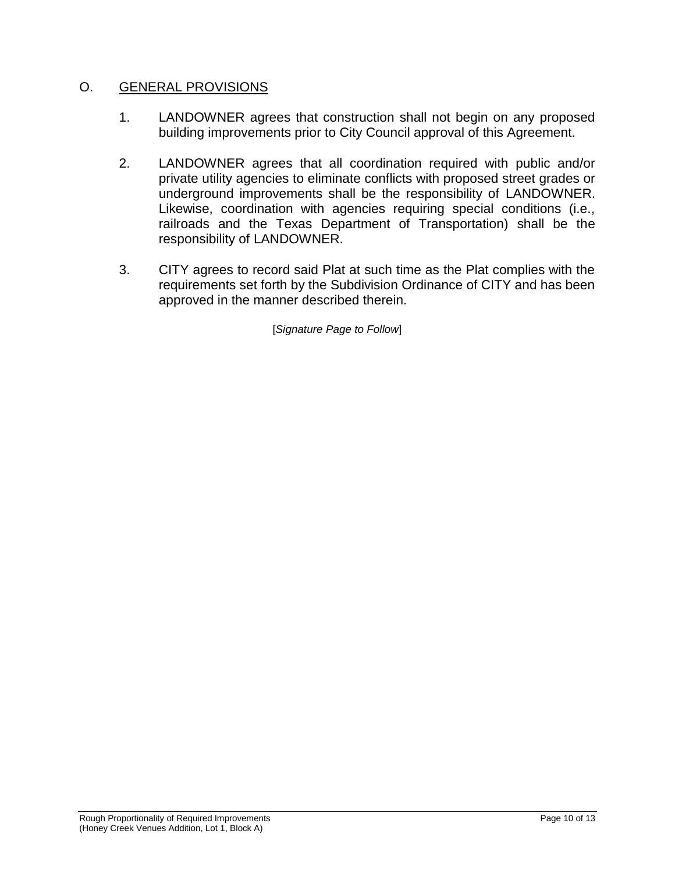### O. GENERAL PROVISIONS

- 1. LANDOWNER agrees that construction shall not begin on any proposed building improvements prior to City Council approval of this Agreement.
- 2. LANDOWNER agrees that all coordination required with public and/or private utility agencies to eliminate conflicts with proposed street grades or underground improvements shall be the responsibility of LANDOWNER. Likewise, coordination with agencies requiring special conditions (i.e., railroads and the Texas Department of Transportation) shall be the responsibility of LANDOWNER.
- 3. CITY agrees to record said Plat at such time as the Plat complies with the requirements set forth by the Subdivision Ordinance of CITY and has been approved in the manner described therein.

[*Signature Page to Follow*]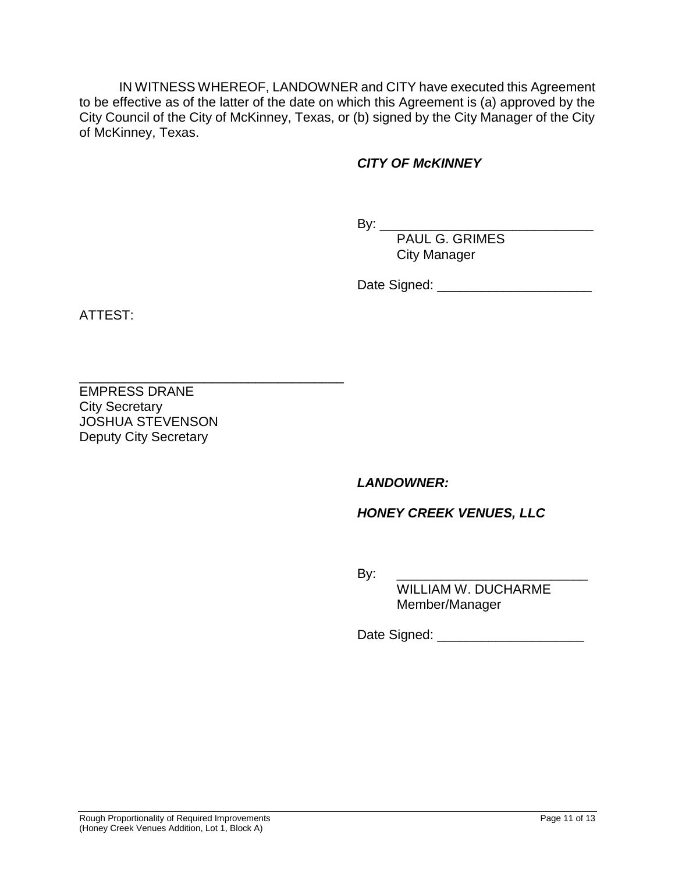IN WITNESS WHEREOF, LANDOWNER and CITY have executed this Agreement to be effective as of the latter of the date on which this Agreement is (a) approved by the City Council of the City of McKinney, Texas, or (b) signed by the City Manager of the City of McKinney, Texas.

## *CITY OF McKINNEY*

By: \_\_\_\_\_\_\_\_\_\_\_\_\_\_\_\_\_\_\_\_\_\_\_\_\_\_\_\_\_

PAUL G. GRIMES City Manager

Date Signed: \_\_\_\_\_\_\_\_\_\_\_\_\_\_\_\_\_\_\_\_\_

ATTEST:

EMPRESS DRANE City Secretary JOSHUA STEVENSON Deputy City Secretary

\_\_\_\_\_\_\_\_\_\_\_\_\_\_\_\_\_\_\_\_\_\_\_\_\_\_\_\_\_\_\_\_\_\_\_\_

*LANDOWNER:*

## *HONEY CREEK VENUES, LLC*

By: \_\_\_\_\_\_\_\_\_\_\_\_\_\_\_\_\_\_\_\_\_\_\_\_\_\_

WILLIAM W. DUCHARME Member/Manager

Date Signed: \_\_\_\_\_\_\_\_\_\_\_\_\_\_\_\_\_\_\_\_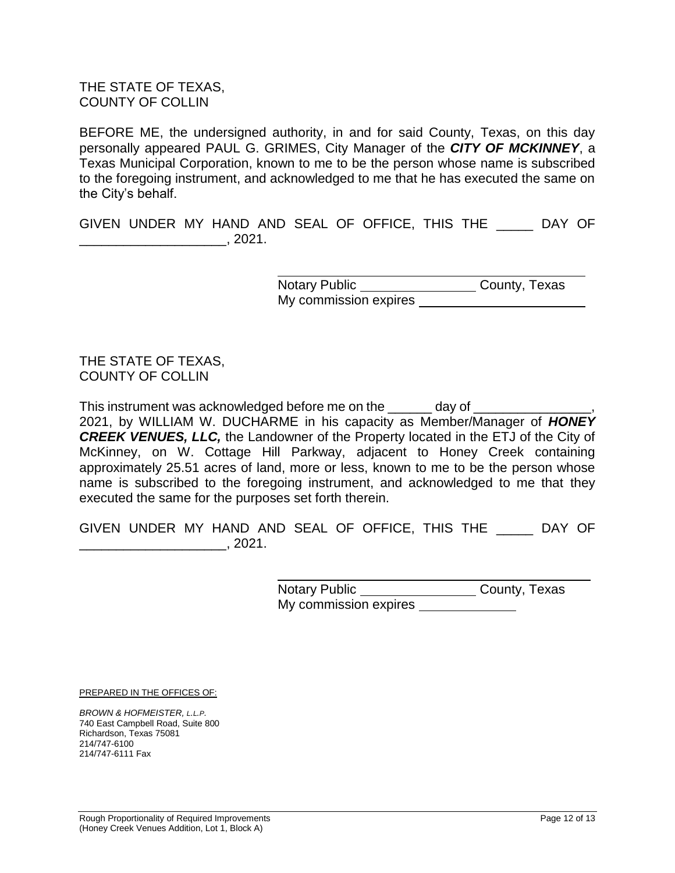THE STATE OF TEXAS, COUNTY OF COLLIN

BEFORE ME, the undersigned authority, in and for said County, Texas, on this day personally appeared PAUL G. GRIMES, City Manager of the *CITY OF MCKINNEY*, a Texas Municipal Corporation, known to me to be the person whose name is subscribed to the foregoing instrument, and acknowledged to me that he has executed the same on the City's behalf.

GIVEN UNDER MY HAND AND SEAL OF OFFICE, THIS THE \_\_\_\_\_ DAY OF \_\_\_\_\_\_\_\_\_\_\_\_\_\_\_\_\_\_\_\_, 2021.

> Notary Public County, Texas My commission expires

THE STATE OF TEXAS, COUNTY OF COLLIN

This instrument was acknowledged before me on the day of 2021, by WILLIAM W. DUCHARME in his capacity as Member/Manager of *HONEY CREEK VENUES, LLC,* the Landowner of the Property located in the ETJ of the City of McKinney, on W. Cottage Hill Parkway, adjacent to Honey Creek containing approximately 25.51 acres of land, more or less, known to me to be the person whose name is subscribed to the foregoing instrument, and acknowledged to me that they executed the same for the purposes set forth therein.

GIVEN UNDER MY HAND AND SEAL OF OFFICE, THIS THE \_\_\_\_\_ DAY OF \_\_\_\_\_\_\_\_\_\_\_\_\_\_\_\_\_\_\_\_, 2021.

> Notary Public \_\_\_\_\_\_\_\_\_\_\_\_\_\_\_\_\_\_\_\_\_\_\_\_County, Texas My commission expires

PREPARED IN THE OFFICES OF:

*BROWN & HOFMEISTER, L.L.P.* 740 East Campbell Road, Suite 800 Richardson, Texas 75081 214/747-6100 214/747-6111 Fax